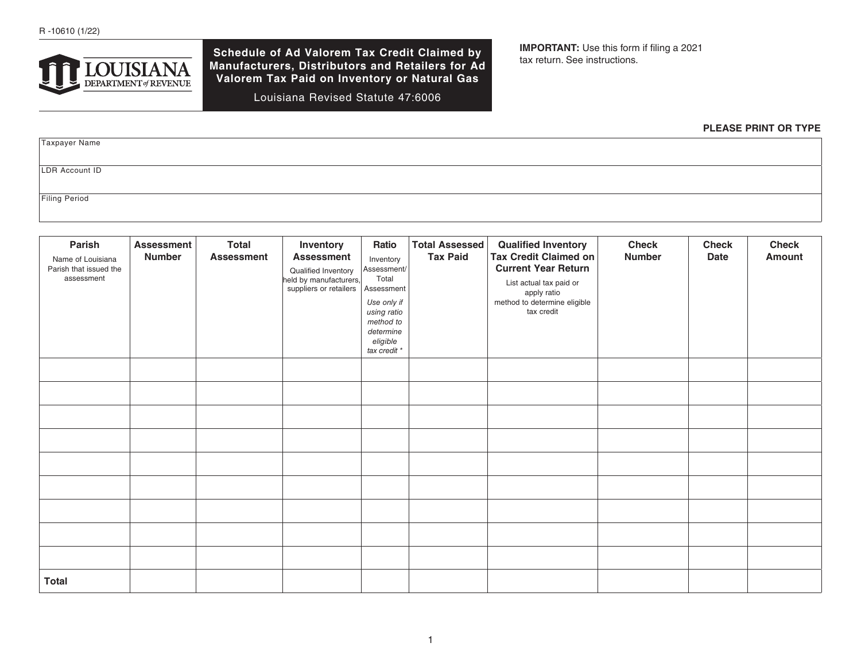

**Schedule of Ad Valorem Tax Credit Claimed by Manufacturers, Distributors and Retailers for Ad Valorem Tax Paid on Inventory or Natural Gas** 

Louisiana Revised Statute 47:6006

**IMPORTANT:** Use this form if filing a 2021 tax return. See instructions.

## **PLEASE PRINT OR TYPE**

Taxpayer Name LDR Account ID Filing Period

| Parish<br>Name of Louisiana<br>Parish that issued the<br>assessment | <b>Assessment</b><br><b>Number</b> | <b>Total</b><br><b>Assessment</b> | Inventory<br><b>Assessment</b><br>Qualified Inventory<br>held by manufacturers,<br>suppliers or retailers | Ratio<br>Inventory<br>Assessment/<br>Total<br>Assessment<br>Use only if<br>using ratio<br>method to<br>determine<br>eligible<br>tax credit * | <b>Total Assessed</b><br><b>Tax Paid</b> | <b>Qualified Inventory</b><br><b>Tax Credit Claimed on</b><br><b>Current Year Return</b><br>List actual tax paid or<br>apply ratio<br>method to determine eligible<br>tax credit | <b>Check</b><br><b>Number</b> | <b>Check</b><br><b>Date</b> | <b>Check</b><br><b>Amount</b> |
|---------------------------------------------------------------------|------------------------------------|-----------------------------------|-----------------------------------------------------------------------------------------------------------|----------------------------------------------------------------------------------------------------------------------------------------------|------------------------------------------|----------------------------------------------------------------------------------------------------------------------------------------------------------------------------------|-------------------------------|-----------------------------|-------------------------------|
|                                                                     |                                    |                                   |                                                                                                           |                                                                                                                                              |                                          |                                                                                                                                                                                  |                               |                             |                               |
|                                                                     |                                    |                                   |                                                                                                           |                                                                                                                                              |                                          |                                                                                                                                                                                  |                               |                             |                               |
|                                                                     |                                    |                                   |                                                                                                           |                                                                                                                                              |                                          |                                                                                                                                                                                  |                               |                             |                               |
|                                                                     |                                    |                                   |                                                                                                           |                                                                                                                                              |                                          |                                                                                                                                                                                  |                               |                             |                               |
|                                                                     |                                    |                                   |                                                                                                           |                                                                                                                                              |                                          |                                                                                                                                                                                  |                               |                             |                               |
|                                                                     |                                    |                                   |                                                                                                           |                                                                                                                                              |                                          |                                                                                                                                                                                  |                               |                             |                               |
|                                                                     |                                    |                                   |                                                                                                           |                                                                                                                                              |                                          |                                                                                                                                                                                  |                               |                             |                               |
|                                                                     |                                    |                                   |                                                                                                           |                                                                                                                                              |                                          |                                                                                                                                                                                  |                               |                             |                               |
|                                                                     |                                    |                                   |                                                                                                           |                                                                                                                                              |                                          |                                                                                                                                                                                  |                               |                             |                               |
| <b>Total</b>                                                        |                                    |                                   |                                                                                                           |                                                                                                                                              |                                          |                                                                                                                                                                                  |                               |                             |                               |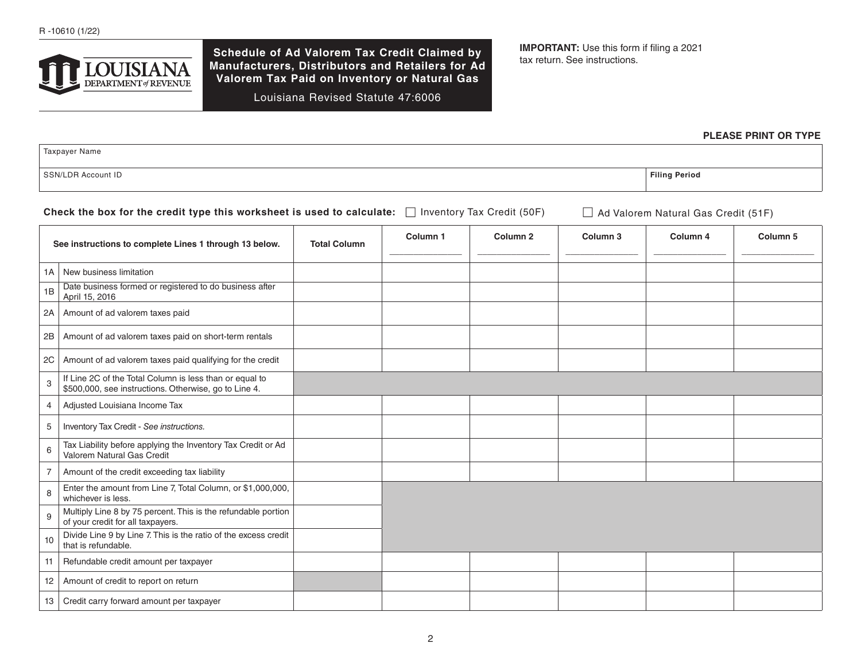

**Schedule of Ad Valorem Tax Credit Claimed by Manufacturers, Distributors and Retailers for Ad Valorem Tax Paid on Inventory or Natural Gas** 

Louisiana Revised Statute 47:6006

**IMPORTANT:** Use this form if filing a 2021 tax return. See instructions.

#### **PLEASE PRINT OR TYPE**

Taxpayer Name SSN/LDR Account ID **Filing Period**

Check the box for the credit type this worksheet is used to calculate: □ Inventory Tax Credit (50F) □ Ad Valorem Natural Gas Credit (51F)

| See instructions to complete Lines 1 through 13 below. |                                                                                                                  | <b>Total Column</b> | Column <sub>1</sub> | Column <sub>2</sub> | Column <sub>3</sub> | Column 4 | Column <sub>5</sub> |
|--------------------------------------------------------|------------------------------------------------------------------------------------------------------------------|---------------------|---------------------|---------------------|---------------------|----------|---------------------|
|                                                        | 1A   New business limitation                                                                                     |                     |                     |                     |                     |          |                     |
| 1B                                                     | Date business formed or registered to do business after<br>April 15, 2016                                        |                     |                     |                     |                     |          |                     |
| 2A                                                     | Amount of ad valorem taxes paid                                                                                  |                     |                     |                     |                     |          |                     |
| 2B                                                     | Amount of ad valorem taxes paid on short-term rentals                                                            |                     |                     |                     |                     |          |                     |
| 2C                                                     | Amount of ad valorem taxes paid qualifying for the credit                                                        |                     |                     |                     |                     |          |                     |
| 3                                                      | If Line 2C of the Total Column is less than or equal to<br>\$500,000, see instructions. Otherwise, go to Line 4. |                     |                     |                     |                     |          |                     |
| 4                                                      | Adjusted Louisiana Income Tax                                                                                    |                     |                     |                     |                     |          |                     |
| 5                                                      | Inventory Tax Credit - See instructions.                                                                         |                     |                     |                     |                     |          |                     |
| 6                                                      | Tax Liability before applying the Inventory Tax Credit or Ad<br>Valorem Natural Gas Credit                       |                     |                     |                     |                     |          |                     |
| 7                                                      | Amount of the credit exceeding tax liability                                                                     |                     |                     |                     |                     |          |                     |
| 8                                                      | Enter the amount from Line 7, Total Column, or \$1,000,000,<br>whichever is less.                                |                     |                     |                     |                     |          |                     |
| 9                                                      | Multiply Line 8 by 75 percent. This is the refundable portion<br>of your credit for all taxpayers.               |                     |                     |                     |                     |          |                     |
| 10                                                     | Divide Line 9 by Line 7. This is the ratio of the excess credit<br>that is refundable.                           |                     |                     |                     |                     |          |                     |
| 11                                                     | Refundable credit amount per taxpayer                                                                            |                     |                     |                     |                     |          |                     |
| 12                                                     | Amount of credit to report on return                                                                             |                     |                     |                     |                     |          |                     |
| 13 <sup>1</sup>                                        | Credit carry forward amount per taxpayer                                                                         |                     |                     |                     |                     |          |                     |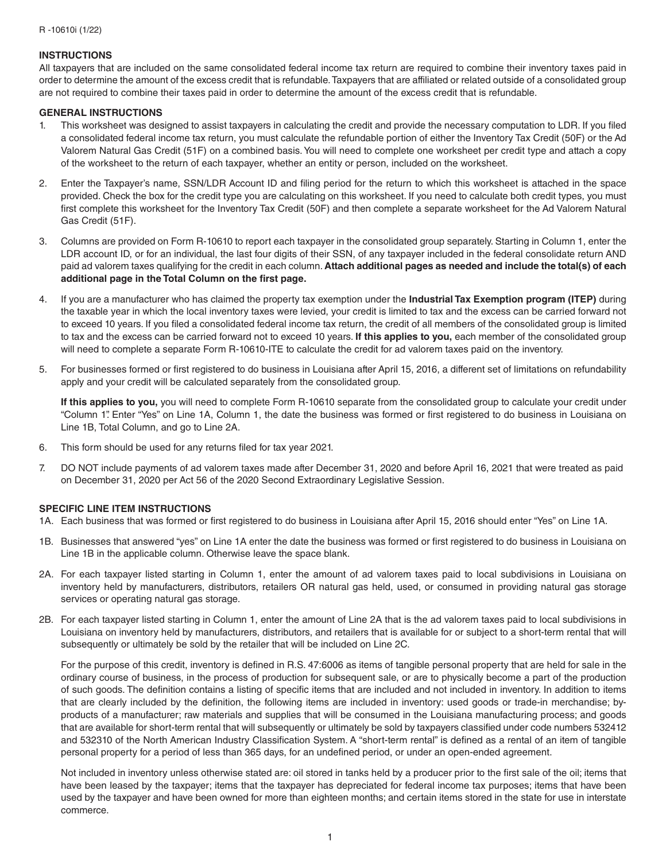# **INSTRUCTIONS**

All taxpayers that are included on the same consolidated federal income tax return are required to combine their inventory taxes paid in order to determine the amount of the excess credit that is refundable. Taxpayers that are affiliated or related outside of a consolidated group are not required to combine their taxes paid in order to determine the amount of the excess credit that is refundable.

### **GENERAL INSTRUCTIONS**

- 1. This worksheet was designed to assist taxpayers in calculating the credit and provide the necessary computation to LDR. If you filed a consolidated federal income tax return, you must calculate the refundable portion of either the Inventory Tax Credit (50F) or the Ad Valorem Natural Gas Credit (51F) on a combined basis. You will need to complete one worksheet per credit type and attach a copy of the worksheet to the return of each taxpayer, whether an entity or person, included on the worksheet.
- 2. Enter the Taxpayer's name, SSN/LDR Account ID and filing period for the return to which this worksheet is attached in the space provided. Check the box for the credit type you are calculating on this worksheet. If you need to calculate both credit types, you must first complete this worksheet for the Inventory Tax Credit (50F) and then complete a separate worksheet for the Ad Valorem Natural Gas Credit (51F).
- 3. Columns are provided on Form R-10610 to report each taxpayer in the consolidated group separately. Starting in Column 1, enter the LDR account ID, or for an individual, the last four digits of their SSN, of any taxpayer included in the federal consolidate return AND paid ad valorem taxes qualifying for the credit in each column. **Attach additional pages as needed and include the total(s) of each additional page in the Total Column on the first page.**
- 4. If you are a manufacturer who has claimed the property tax exemption under the **Industrial Tax Exemption program (ITEP)** during the taxable year in which the local inventory taxes were levied, your credit is limited to tax and the excess can be carried forward not to exceed 10 years. If you filed a consolidated federal income tax return, the credit of all members of the consolidated group is limited to tax and the excess can be carried forward not to exceed 10 years. **If this applies to you,** each member of the consolidated group will need to complete a separate Form R-10610-ITE to calculate the credit for ad valorem taxes paid on the inventory.
- 5. For businesses formed or first registered to do business in Louisiana after April 15, 2016, a different set of limitations on refundability apply and your credit will be calculated separately from the consolidated group.

**If this applies to you,** you will need to complete Form R-10610 separate from the consolidated group to calculate your credit under "Column 1". Enter "Yes" on Line 1A, Column 1, the date the business was formed or first registered to do business in Louisiana on Line 1B, Total Column, and go to Line 2A.

- 6. This form should be used for any returns filed for tax year 2021.
- 7. DO NOT include payments of ad valorem taxes made after December 31, 2020 and before April 16, 2021 that were treated as paid on December 31, 2020 per Act 56 of the 2020 Second Extraordinary Legislative Session.

# **SPECIFIC LINE ITEM INSTRUCTIONS**

- 1A. Each business that was formed or first registered to do business in Louisiana after April 15, 2016 should enter "Yes" on Line 1A.
- 1B. Businesses that answered "yes" on Line 1A enter the date the business was formed or first registered to do business in Louisiana on Line 1B in the applicable column. Otherwise leave the space blank.
- 2A. For each taxpayer listed starting in Column 1, enter the amount of ad valorem taxes paid to local subdivisions in Louisiana on inventory held by manufacturers, distributors, retailers OR natural gas held, used, or consumed in providing natural gas storage services or operating natural gas storage.
- 2B. For each taxpayer listed starting in Column 1, enter the amount of Line 2A that is the ad valorem taxes paid to local subdivisions in Louisiana on inventory held by manufacturers, distributors, and retailers that is available for or subject to a short-term rental that will subsequently or ultimately be sold by the retailer that will be included on Line 2C.

For the purpose of this credit, inventory is defined in R.S. 47:6006 as items of tangible personal property that are held for sale in the ordinary course of business, in the process of production for subsequent sale, or are to physically become a part of the production of such goods. The definition contains a listing of specific items that are included and not included in inventory. In addition to items that are clearly included by the definition, the following items are included in inventory: used goods or trade-in merchandise; byproducts of a manufacturer; raw materials and supplies that will be consumed in the Louisiana manufacturing process; and goods that are available for short-term rental that will subsequently or ultimately be sold by taxpayers classified under code numbers 532412 and 532310 of the North American Industry Classification System. A "short-term rental" is defined as a rental of an item of tangible personal property for a period of less than 365 days, for an undefined period, or under an open-ended agreement.

Not included in inventory unless otherwise stated are: oil stored in tanks held by a producer prior to the first sale of the oil; items that have been leased by the taxpayer; items that the taxpayer has depreciated for federal income tax purposes; items that have been used by the taxpayer and have been owned for more than eighteen months; and certain items stored in the state for use in interstate commerce.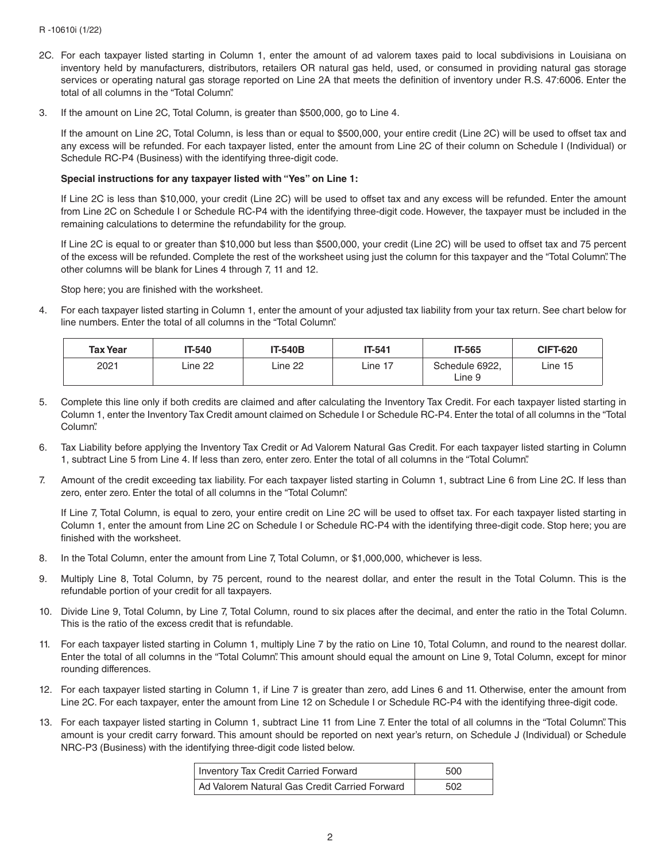- 2C. For each taxpayer listed starting in Column 1, enter the amount of ad valorem taxes paid to local subdivisions in Louisiana on inventory held by manufacturers, distributors, retailers OR natural gas held, used, or consumed in providing natural gas storage services or operating natural gas storage reported on Line 2A that meets the definition of inventory under R.S. 47:6006. Enter the total of all columns in the "Total Column".
- 3. If the amount on Line 2C, Total Column, is greater than \$500,000, go to Line 4.

If the amount on Line 2C, Total Column, is less than or equal to \$500,000, your entire credit (Line 2C) will be used to offset tax and any excess will be refunded. For each taxpayer listed, enter the amount from Line 2C of their column on Schedule I (Individual) or Schedule RC-P4 (Business) with the identifying three-digit code.

## **Special instructions for any taxpayer listed with "Yes" on Line 1:**

If Line 2C is less than \$10,000, your credit (Line 2C) will be used to offset tax and any excess will be refunded. Enter the amount from Line 2C on Schedule I or Schedule RC-P4 with the identifying three-digit code. However, the taxpayer must be included in the remaining calculations to determine the refundability for the group.

If Line 2C is equal to or greater than \$10,000 but less than \$500,000, your credit (Line 2C) will be used to offset tax and 75 percent of the excess will be refunded. Complete the rest of the worksheet using just the column for this taxpayer and the "Total Column". The other columns will be blank for Lines 4 through 7, 11 and 12.

Stop here; you are finished with the worksheet.

4. For each taxpayer listed starting in Column 1, enter the amount of your adjusted tax liability from your tax return. See chart below for line numbers. Enter the total of all columns in the "Total Column".

| <b>Tax Year</b> | <b>T-540</b> | <b>IT-540B</b> | IT-541  | <b>IT-565</b>            | <b>CIFT-620</b> |
|-----------------|--------------|----------------|---------|--------------------------|-----------------|
| 2021            | Line 22      | ∟ine 22        | ∟ine 17 | Schedule 6922,<br>Line 9 | Line 15         |

- 5. Complete this line only if both credits are claimed and after calculating the Inventory Tax Credit. For each taxpayer listed starting in Column 1, enter the Inventory Tax Credit amount claimed on Schedule I or Schedule RC-P4. Enter the total of all columns in the "Total Column".
- 6. Tax Liability before applying the Inventory Tax Credit or Ad Valorem Natural Gas Credit. For each taxpayer listed starting in Column 1, subtract Line 5 from Line 4. If less than zero, enter zero. Enter the total of all columns in the "Total Column".
- 7. Amount of the credit exceeding tax liability. For each taxpayer listed starting in Column 1, subtract Line 6 from Line 2C. If less than zero, enter zero. Enter the total of all columns in the "Total Column".

If Line 7, Total Column, is equal to zero, your entire credit on Line 2C will be used to offset tax. For each taxpayer listed starting in Column 1, enter the amount from Line 2C on Schedule I or Schedule RC-P4 with the identifying three-digit code. Stop here; you are finished with the worksheet.

- 8. In the Total Column, enter the amount from Line 7, Total Column, or \$1,000,000, whichever is less.
- 9. Multiply Line 8, Total Column, by 75 percent, round to the nearest dollar, and enter the result in the Total Column. This is the refundable portion of your credit for all taxpayers.
- 10. Divide Line 9, Total Column, by Line 7, Total Column, round to six places after the decimal, and enter the ratio in the Total Column. This is the ratio of the excess credit that is refundable.
- 11. For each taxpayer listed starting in Column 1, multiply Line 7 by the ratio on Line 10, Total Column, and round to the nearest dollar. Enter the total of all columns in the "Total Column". This amount should equal the amount on Line 9, Total Column, except for minor rounding differences.
- 12. For each taxpayer listed starting in Column 1, if Line 7 is greater than zero, add Lines 6 and 11. Otherwise, enter the amount from Line 2C. For each taxpayer, enter the amount from Line 12 on Schedule I or Schedule RC-P4 with the identifying three-digit code.
- 13. For each taxpayer listed starting in Column 1, subtract Line 11 from Line 7. Enter the total of all columns in the "Total Column". This amount is your credit carry forward. This amount should be reported on next year's return, on Schedule J (Individual) or Schedule NRC-P3 (Business) with the identifying three-digit code listed below.

| Inventory Tax Credit Carried Forward          | 500 |
|-----------------------------------------------|-----|
| Ad Valorem Natural Gas Credit Carried Forward | 502 |